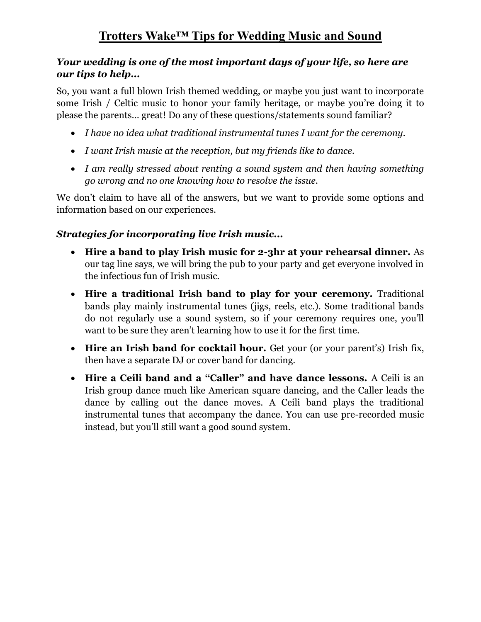#### *Your wedding is one of the most important days of your life, so here are our tips to help...*

So, you want a full blown Irish themed wedding, or maybe you just want to incorporate some Irish / Celtic music to honor your family heritage, or maybe you're doing it to please the parents… great! Do any of these questions/statements sound familiar?

- *I have no idea what traditional instrumental tunes I want for the ceremony.*
- *I want Irish music at the reception, but my friends like to dance.*
- *I am really stressed about renting a sound system and then having something go wrong and no one knowing how to resolve the issue.*

We don't claim to have all of the answers, but we want to provide some options and information based on our experiences.

## *Strategies for incorporating live Irish music...*

- **Hire a band to play Irish music for 2-3hr at your rehearsal dinner.** As our tag line says, we will bring the pub to your party and get everyone involved in the infectious fun of Irish music.
- **Hire a traditional Irish band to play for your ceremony.** Traditional bands play mainly instrumental tunes (jigs, reels, etc.). Some traditional bands do not regularly use a sound system, so if your ceremony requires one, you'll want to be sure they aren't learning how to use it for the first time.
- **Hire an Irish band for cocktail hour.** Get your (or your parent's) Irish fix, then have a separate DJ or cover band for dancing.
- **Hire a Ceili band and a "Caller" and have dance lessons.** A Ceili is an Irish group dance much like American square dancing, and the Caller leads the dance by calling out the dance moves. A Ceili band plays the traditional instrumental tunes that accompany the dance. You can use pre-recorded music instead, but you'll still want a good sound system.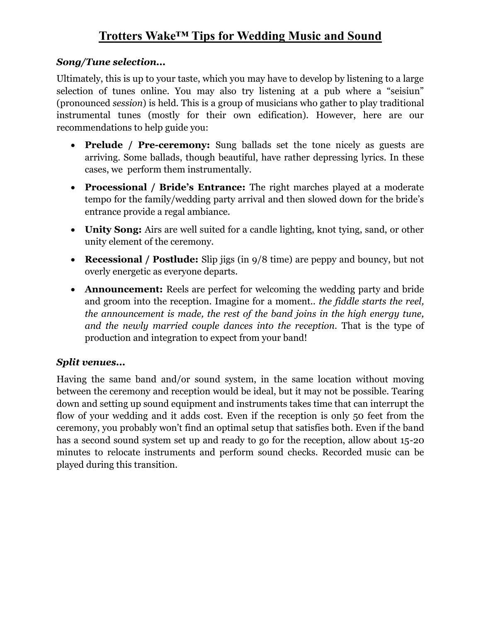# **Trotters Wake™ Tips for Wedding Music and Sound**

#### *Song/Tune selection...*

Ultimately, this is up to your taste, which you may have to develop by listening to a large selection of tunes online. You may also try listening at a pub where a "seisiun" (pronounced *session*) is held. This is a group of musicians who gather to play traditional instrumental tunes (mostly for their own edification). However, here are our recommendations to help guide you:

- **Prelude / Pre-ceremony:** Sung ballads set the tone nicely as guests are arriving. Some ballads, though beautiful, have rather depressing lyrics. In these cases, we perform them instrumentally.
- **Processional / Bride's Entrance:** The right marches played at a moderate tempo for the family/wedding party arrival and then slowed down for the bride's entrance provide a regal ambiance.
- **Unity Song:** Airs are well suited for a candle lighting, knot tying, sand, or other unity element of the ceremony.
- **Recessional / Postlude:** Slip jigs (in 9/8 time) are peppy and bouncy, but not overly energetic as everyone departs.
- **Announcement:** Reels are perfect for welcoming the wedding party and bride and groom into the reception. Imagine for a moment.. *the fiddle starts the reel, the announcement is made, the rest of the band joins in the high energy tune, and the newly married couple dances into the reception.* That is the type of production and integration to expect from your band!

#### *Split venues...*

Having the same band and/or sound system, in the same location without moving between the ceremony and reception would be ideal, but it may not be possible. Tearing down and setting up sound equipment and instruments takes time that can interrupt the flow of your wedding and it adds cost. Even if the reception is only 50 feet from the ceremony, you probably won't find an optimal setup that satisfies both. Even if the band has a second sound system set up and ready to go for the reception, allow about 15-20 minutes to relocate instruments and perform sound checks. Recorded music can be played during this transition.